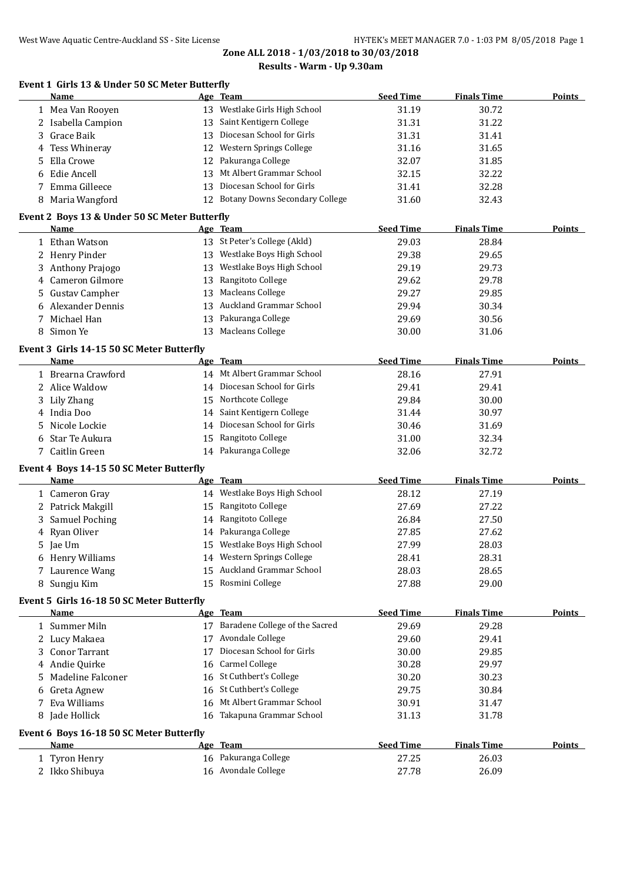## **Event 1 Girls 13 & Under 50 SC Meter Butterfly**

|    | <b>Name</b>                                           |    | Age Team                                 | <b>Seed Time</b> | <b>Finals Time</b> | <b>Points</b> |
|----|-------------------------------------------------------|----|------------------------------------------|------------------|--------------------|---------------|
|    | 1 Mea Van Rooyen                                      |    | 13 Westlake Girls High School            | 31.19            | 30.72              |               |
|    | 2 Isabella Campion                                    |    | 13 Saint Kentigern College               | 31.31            | 31.22              |               |
|    | 3 Grace Baik                                          |    | 13 Diocesan School for Girls             | 31.31            | 31.41              |               |
| 4  | Tess Whineray                                         |    | 12 Western Springs College               | 31.16            | 31.65              |               |
| 5  | Ella Crowe                                            |    | 12 Pakuranga College                     | 32.07            | 31.85              |               |
| 6  | Edie Ancell                                           |    | 13 Mt Albert Grammar School              | 32.15            | 32.22              |               |
| 7  | Emma Gilleece                                         |    | 13 Diocesan School for Girls             | 31.41            | 32.28              |               |
|    | 8 Maria Wangford                                      |    | 12 Botany Downs Secondary College        | 31.60            | 32.43              |               |
|    |                                                       |    |                                          |                  |                    |               |
|    | Event 2 Boys 13 & Under 50 SC Meter Butterfly<br>Name |    |                                          | <b>Seed Time</b> | <b>Finals Time</b> | <b>Points</b> |
|    | 1 Ethan Watson                                        |    | Age Team<br>13 St Peter's College (Akld) | 29.03            | 28.84              |               |
|    |                                                       |    | 13 Westlake Boys High School             |                  |                    |               |
|    | 2 Henry Pinder                                        |    | 13 Westlake Boys High School             | 29.38            | 29.65              |               |
|    | 3 Anthony Prajogo                                     |    |                                          | 29.19            | 29.73              |               |
|    | 4 Cameron Gilmore                                     |    | 13 Rangitoto College                     | 29.62            | 29.78              |               |
|    | 5 Gustav Campher                                      |    | 13 Macleans College                      | 29.27            | 29.85              |               |
|    | 6 Alexander Dennis                                    |    | 13 Auckland Grammar School               | 29.94            | 30.34              |               |
|    | 7 Michael Han                                         |    | 13 Pakuranga College                     | 29.69            | 30.56              |               |
|    | 8 Simon Ye                                            |    | 13 Macleans College                      | 30.00            | 31.06              |               |
|    | Event 3 Girls 14-15 50 SC Meter Butterfly             |    |                                          |                  |                    |               |
|    | Name                                                  |    | Age Team                                 | <b>Seed Time</b> | <b>Finals Time</b> | <b>Points</b> |
|    | 1 Brearna Crawford                                    |    | 14 Mt Albert Grammar School              | 28.16            | 27.91              |               |
|    | 2 Alice Waldow                                        |    | 14 Diocesan School for Girls             | 29.41            | 29.41              |               |
|    | 3 Lily Zhang                                          |    | 15 Northcote College                     | 29.84            | 30.00              |               |
|    | 4 India Doo                                           |    | 14 Saint Kentigern College               | 31.44            | 30.97              |               |
| 5  | Nicole Lockie                                         |    | 14 Diocesan School for Girls             | 30.46            | 31.69              |               |
| 6  | Star Te Aukura                                        |    | 15 Rangitoto College                     | 31.00            | 32.34              |               |
|    | 7 Caitlin Green                                       |    | 14 Pakuranga College                     | 32.06            | 32.72              |               |
|    | Event 4 Boys 14-15 50 SC Meter Butterfly              |    |                                          |                  |                    |               |
|    | Name                                                  |    | Age Team                                 | <b>Seed Time</b> | <b>Finals Time</b> | <b>Points</b> |
|    | 1 Cameron Gray                                        |    | 14 Westlake Boys High School             | 28.12            | 27.19              |               |
|    | 2 Patrick Makgill                                     |    | 15 Rangitoto College                     | 27.69            | 27.22              |               |
|    | 3 Samuel Poching                                      |    | 14 Rangitoto College                     | 26.84            | 27.50              |               |
|    | 4 Ryan Oliver                                         |    | 14 Pakuranga College                     | 27.85            | 27.62              |               |
|    | 5 Jae Um                                              |    | 15 Westlake Boys High School             | 27.99            | 28.03              |               |
|    | 6 Henry Williams                                      |    | 14 Western Springs College               | 28.41            | 28.31              |               |
|    | 7 Laurence Wang                                       |    | 15 Auckland Grammar School               | 28.03            | 28.65              |               |
|    | 8 Sungju Kim                                          |    | 15 Rosmini College                       | 27.88            | 29.00              |               |
|    | Event 5 Girls 16-18 50 SC Meter Butterfly             |    |                                          |                  |                    |               |
|    | <b>Name</b>                                           |    | Age Team                                 | <b>Seed Time</b> | <b>Finals Time</b> | <b>Points</b> |
|    | 1 Summer Miln                                         |    | 17 Baradene College of the Sacred        | 29.69            | 29.28              |               |
|    | 2 Lucy Makaea                                         |    | 17 Avondale College                      | 29.60            | 29.41              |               |
|    | 3 Conor Tarrant                                       | 17 | Diocesan School for Girls                | 30.00            | 29.85              |               |
|    | 4 Andie Quirke                                        | 16 | Carmel College                           | 30.28            | 29.97              |               |
| 5. | Madeline Falconer                                     | 16 | St Cuthbert's College                    | 30.20            | 30.23              |               |
|    | 6 Greta Agnew                                         | 16 | St Cuthbert's College                    | 29.75            | 30.84              |               |
|    | 7 Eva Williams                                        |    | 16 Mt Albert Grammar School              | 30.91            | 31.47              |               |
|    | 8 Jade Hollick                                        |    | 16 Takapuna Grammar School               | 31.13            | 31.78              |               |
|    |                                                       |    |                                          |                  |                    |               |
|    | Event 6 Boys 16-18 50 SC Meter Butterfly              |    |                                          |                  |                    |               |
|    | Name                                                  |    | Age Team                                 | <b>Seed Time</b> | <b>Finals Time</b> | <b>Points</b> |
|    | 1 Tyron Henry                                         |    | 16 Pakuranga College                     | 27.25            | 26.03              |               |
|    | 2 Ikko Shibuya                                        |    | 16 Avondale College                      | 27.78            | 26.09              |               |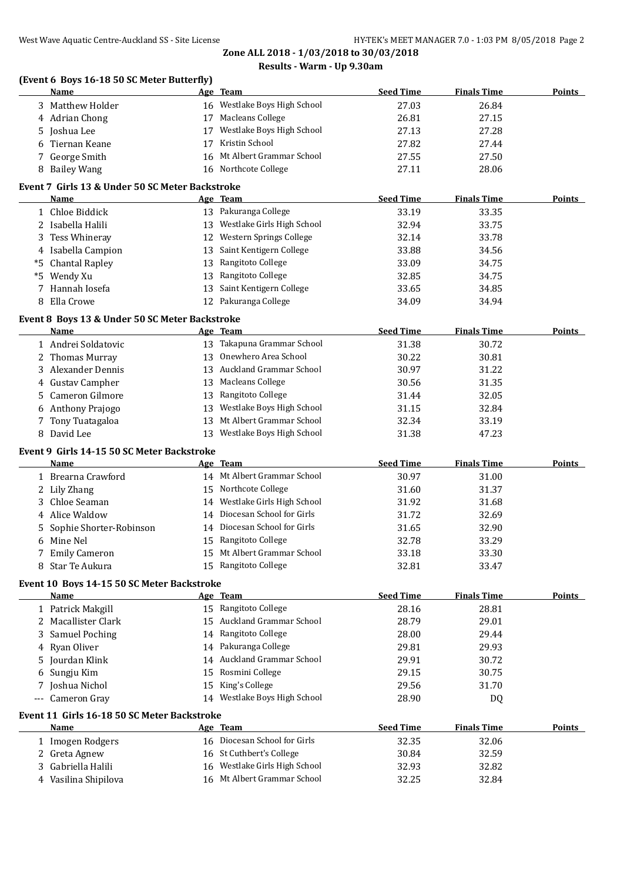## **(Event 6 Boys 16-18 50 SC Meter Butterfly)**

|     | vent o boys to to so so meter butterity<br>Name    |    | Age Team                                        | <b>Seed Time</b> | <b>Finals Time</b> | <b>Points</b> |
|-----|----------------------------------------------------|----|-------------------------------------------------|------------------|--------------------|---------------|
|     | 3 Matthew Holder                                   |    | 16 Westlake Boys High School                    | 27.03            | 26.84              |               |
|     | 4 Adrian Chong                                     |    | 17 Macleans College                             | 26.81            | 27.15              |               |
|     | 5 Joshua Lee                                       |    | 17 Westlake Boys High School                    | 27.13            | 27.28              |               |
|     | 6 Tiernan Keane                                    |    | 17 Kristin School                               | 27.82            | 27.44              |               |
|     | 7 George Smith                                     |    | 16 Mt Albert Grammar School                     | 27.55            | 27.50              |               |
|     | 8 Bailey Wang                                      |    | 16 Northcote College                            | 27.11            | 28.06              |               |
|     | Event 7 Girls 13 & Under 50 SC Meter Backstroke    |    |                                                 |                  |                    |               |
|     | Name                                               |    | Age Team                                        | <b>Seed Time</b> | <b>Finals Time</b> | Points        |
|     | 1 Chloe Biddick                                    |    | 13 Pakuranga College                            | 33.19            | 33.35              |               |
|     | 2 Isabella Halili                                  |    | 13 Westlake Girls High School                   | 32.94            | 33.75              |               |
|     | 3 Tess Whineray                                    |    | 12 Western Springs College                      | 32.14            | 33.78              |               |
|     | 4 Isabella Campion                                 | 13 | Saint Kentigern College                         | 33.88            | 34.56              |               |
|     | *5 Chantal Rapley                                  | 13 | Rangitoto College                               | 33.09            | 34.75              |               |
|     | *5 Wendy Xu                                        | 13 | Rangitoto College                               | 32.85            | 34.75              |               |
|     | 7 Hannah Iosefa                                    | 13 | Saint Kentigern College                         | 33.65            | 34.85              |               |
|     | 8 Ella Crowe                                       |    | 12 Pakuranga College                            | 34.09            | 34.94              |               |
|     | Event 8 Boys 13 & Under 50 SC Meter Backstroke     |    |                                                 |                  |                    |               |
|     | Name                                               |    | Age Team                                        | <b>Seed Time</b> | <b>Finals Time</b> | <b>Points</b> |
|     | 1 Andrei Soldatovic                                |    | 13 Takapuna Grammar School                      | 31.38            | 30.72              |               |
|     | 2 Thomas Murray                                    |    | 13 Onewhero Area School                         | 30.22            | 30.81              |               |
|     | 3 Alexander Dennis                                 |    | 13 Auckland Grammar School                      | 30.97            | 31.22              |               |
|     | 4 Gustav Campher                                   |    | 13 Macleans College                             | 30.56            | 31.35              |               |
|     | 5 Cameron Gilmore                                  |    | 13 Rangitoto College                            | 31.44            | 32.05              |               |
|     | 6 Anthony Prajogo                                  |    | 13 Westlake Boys High School                    | 31.15            | 32.84              |               |
|     | 7 Tony Tuatagaloa                                  |    | 13 Mt Albert Grammar School                     | 32.34            | 33.19              |               |
|     | 8 David Lee                                        |    | 13 Westlake Boys High School                    | 31.38            | 47.23              |               |
|     | Event 9 Girls 14-15 50 SC Meter Backstroke         |    |                                                 |                  |                    |               |
|     | Name                                               |    | Age Team                                        | <b>Seed Time</b> | <b>Finals Time</b> | <b>Points</b> |
|     | 1 Brearna Crawford                                 |    | 14 Mt Albert Grammar School                     | 30.97            | 31.00              |               |
|     | 2 Lily Zhang                                       |    | 15 Northcote College                            | 31.60            | 31.37              |               |
| 3   | Chloe Seaman                                       |    | 14 Westlake Girls High School                   | 31.92            | 31.68              |               |
| 4   | Alice Waldow                                       |    | 14 Diocesan School for Girls                    | 31.72            | 32.69              |               |
| 5.  | Sophie Shorter-Robinson                            |    | 14 Diocesan School for Girls                    | 31.65            | 32.90              |               |
|     | 6 Mine Nel                                         |    | 15 Rangitoto College                            | 32.78            | 33.29              |               |
|     | 7 Emily Cameron                                    |    | 15 Mt Albert Grammar School                     | 33.18            | 33.30              |               |
|     | 8 Star Te Aukura                                   |    | 15 Rangitoto College                            | 32.81            | 33.47              |               |
|     |                                                    |    |                                                 |                  |                    |               |
|     | Event 10 Boys 14-15 50 SC Meter Backstroke<br>Name |    | Age Team                                        | <b>Seed Time</b> | <b>Finals Time</b> | Points        |
|     | 1 Patrick Makgill                                  |    | 15 Rangitoto College                            | 28.16            | 28.81              |               |
|     | 2 Macallister Clark                                |    | 15 Auckland Grammar School                      | 28.79            | 29.01              |               |
| 3   | <b>Samuel Poching</b>                              | 14 | Rangitoto College                               | 28.00            | 29.44              |               |
|     | 4 Ryan Oliver                                      | 14 | Pakuranga College                               | 29.81            | 29.93              |               |
|     | 5 Jourdan Klink                                    | 14 | Auckland Grammar School                         | 29.91            | 30.72              |               |
|     |                                                    | 15 | Rosmini College                                 |                  |                    |               |
|     | 6 Sungju Kim                                       |    |                                                 | 29.15            | 30.75              |               |
|     | 7 Joshua Nichol<br>Cameron Gray                    | 15 | King's College<br>14 Westlake Boys High School  | 29.56<br>28.90   | 31.70              |               |
| --- |                                                    |    |                                                 |                  | DQ                 |               |
|     | Event 11 Girls 16-18 50 SC Meter Backstroke        |    |                                                 |                  |                    |               |
|     | <b>Name</b>                                        |    | <u>Age Team</u><br>16 Diocesan School for Girls | <b>Seed Time</b> | <b>Finals Time</b> | <b>Points</b> |
|     | 1 Imogen Rodgers                                   |    |                                                 | 32.35            | 32.06              |               |
|     | 2 Greta Agnew                                      |    | 16 St Cuthbert's College                        | 30.84            | 32.59              |               |
| 3   | Gabriella Halili                                   |    | 16 Westlake Girls High School                   | 32.93            | 32.82              |               |
|     | 4 Vasilina Shipilova                               |    | 16 Mt Albert Grammar School                     | 32.25            | 32.84              |               |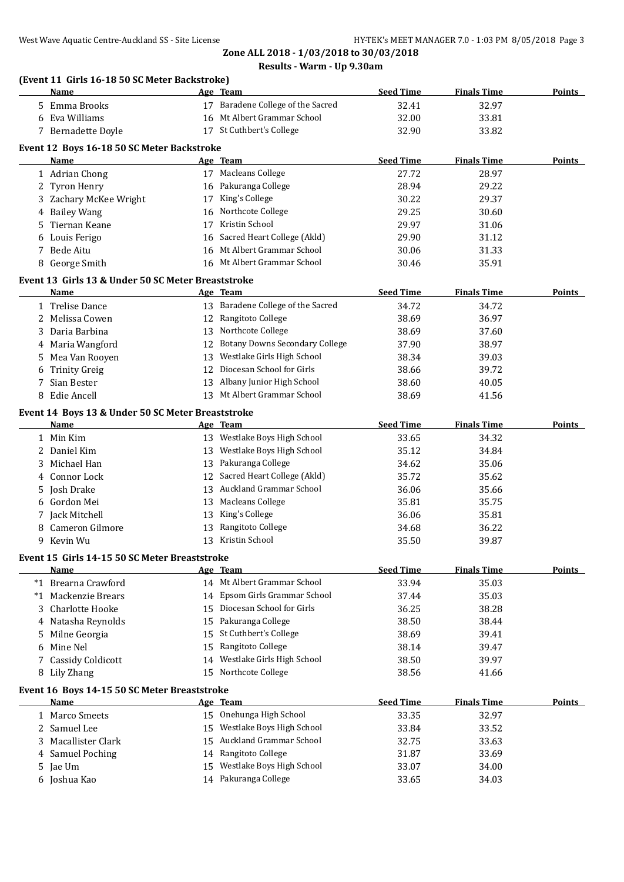|   | (Event 11 Girls 16-18 50 SC Meter Backstroke)<br>Name     |    | Age Team                              | <b>Seed Time</b> | <b>Finals Time</b> | Points        |
|---|-----------------------------------------------------------|----|---------------------------------------|------------------|--------------------|---------------|
|   | 5 Emma Brooks                                             |    | 17 Baradene College of the Sacred     | 32.41            | 32.97              |               |
|   | 6 Eva Williams                                            |    | 16 Mt Albert Grammar School           | 32.00            | 33.81              |               |
|   | 7 Bernadette Doyle                                        |    | 17 St Cuthbert's College              | 32.90            | 33.82              |               |
|   |                                                           |    |                                       |                  |                    |               |
|   | Event 12 Boys 16-18 50 SC Meter Backstroke<br>Name        |    | Age Team                              | <b>Seed Time</b> | <b>Finals Time</b> | <b>Points</b> |
|   | 1 Adrian Chong                                            |    | 17 Macleans College                   | 27.72            | 28.97              |               |
|   | 2 Tyron Henry                                             |    | 16 Pakuranga College                  | 28.94            | 29.22              |               |
|   | 3 Zachary McKee Wright                                    |    | 17 King's College                     | 30.22            | 29.37              |               |
|   | 4 Bailey Wang                                             |    | 16 Northcote College                  | 29.25            | 30.60              |               |
| 5 | Tiernan Keane                                             | 17 | Kristin School                        | 29.97            | 31.06              |               |
|   | 6 Louis Ferigo                                            |    | 16 Sacred Heart College (Akld)        | 29.90            | 31.12              |               |
| 7 | Bede Aitu                                                 |    | 16 Mt Albert Grammar School           | 30.06            | 31.33              |               |
|   | 8 George Smith                                            |    | 16 Mt Albert Grammar School           | 30.46            | 35.91              |               |
|   | Event 13 Girls 13 & Under 50 SC Meter Breaststroke        |    |                                       |                  |                    |               |
|   | <b>Name</b>                                               |    | Age Team                              | <b>Seed Time</b> | <b>Finals Time</b> | Points        |
|   | 1 Trelise Dance                                           |    | 13 Baradene College of the Sacred     | 34.72            | 34.72              |               |
| 2 | Melissa Cowen                                             |    | 12 Rangitoto College                  | 38.69            | 36.97              |               |
| 3 | Daria Barbina                                             |    | 13 Northcote College                  | 38.69            | 37.60              |               |
|   | 4 Maria Wangford                                          | 12 | <b>Botany Downs Secondary College</b> | 37.90            | 38.97              |               |
| 5 | Mea Van Rooyen                                            | 13 | Westlake Girls High School            | 38.34            | 39.03              |               |
| 6 | <b>Trinity Greig</b>                                      | 12 | Diocesan School for Girls             | 38.66            | 39.72              |               |
|   | Sian Bester                                               |    | 13 Albany Junior High School          | 38.60            | 40.05              |               |
|   | 8 Edie Ancell                                             |    | 13 Mt Albert Grammar School           | 38.69            | 41.56              |               |
|   |                                                           |    |                                       |                  |                    |               |
|   | Event 14 Boys 13 & Under 50 SC Meter Breaststroke<br>Name |    | Age Team                              | <b>Seed Time</b> | <b>Finals Time</b> | Points        |
|   | 1 Min Kim                                                 |    | 13 Westlake Boys High School          | 33.65            | 34.32              |               |
|   | 2 Daniel Kim                                              |    | 13 Westlake Boys High School          | 35.12            | 34.84              |               |
| 3 | Michael Han                                               |    | 13 Pakuranga College                  | 34.62            | 35.06              |               |
|   | Connor Lock                                               |    | 12 Sacred Heart College (Akld)        | 35.72            | 35.62              |               |
| 5 | Josh Drake                                                | 13 | <b>Auckland Grammar School</b>        | 36.06            | 35.66              |               |
| 6 | Gordon Mei                                                |    | 13 Macleans College                   | 35.81            | 35.75              |               |
|   | 7 Jack Mitchell                                           |    | 13 King's College                     | 36.06            | 35.81              |               |
|   | Cameron Gilmore                                           |    | 13 Rangitoto College                  | 34.68            | 36.22              |               |
| 9 | Kevin Wu                                                  |    | 13 Kristin School                     | 35.50            | 39.87              |               |
|   |                                                           |    |                                       |                  |                    |               |
|   | Event 15 Girls 14-15 50 SC Meter Breaststroke<br>Name     |    | Age Team                              | <b>Seed Time</b> | <b>Finals Time</b> | Points        |
|   | *1 Brearna Crawford                                       |    | 14 Mt Albert Grammar School           | 33.94            | 35.03              |               |
|   | *1 Mackenzie Brears                                       |    | 14 Epsom Girls Grammar School         | 37.44            | 35.03              |               |
| 3 | Charlotte Hooke                                           |    | 15 Diocesan School for Girls          | 36.25            | 38.28              |               |
|   | Natasha Reynolds                                          |    | 15 Pakuranga College                  | 38.50            | 38.44              |               |
|   |                                                           |    | 15 St Cuthbert's College              | 38.69            | 39.41              |               |
| 5 | Milne Georgia<br>Mine Nel                                 |    | 15 Rangitoto College                  |                  |                    |               |
| 6 |                                                           |    | 14 Westlake Girls High School         | 38.14            | 39.47              |               |
|   | 7 Cassidy Coldicott                                       |    | 15 Northcote College                  | 38.50            | 39.97              |               |
|   | 8 Lily Zhang                                              |    |                                       | 38.56            | 41.66              |               |
|   | Event 16 Boys 14-15 50 SC Meter Breaststroke              |    |                                       |                  |                    |               |
|   | <b>Name</b>                                               |    | Age Team                              | <b>Seed Time</b> | <b>Finals Time</b> | <b>Points</b> |
|   | 1 Marco Smeets                                            |    | 15 Onehunga High School               | 33.35            | 32.97              |               |
|   | 2 Samuel Lee                                              |    | 15 Westlake Boys High School          | 33.84            | 33.52              |               |
| 3 | Macallister Clark                                         |    | 15 Auckland Grammar School            | 32.75            | 33.63              |               |
| 4 | <b>Samuel Poching</b>                                     |    | 14 Rangitoto College                  | 31.87            | 33.69              |               |
| 5 | Jae Um                                                    |    | 15 Westlake Boys High School          | 33.07            | 34.00              |               |
|   | 6 Joshua Kao                                              |    | 14 Pakuranga College                  | 33.65            | 34.03              |               |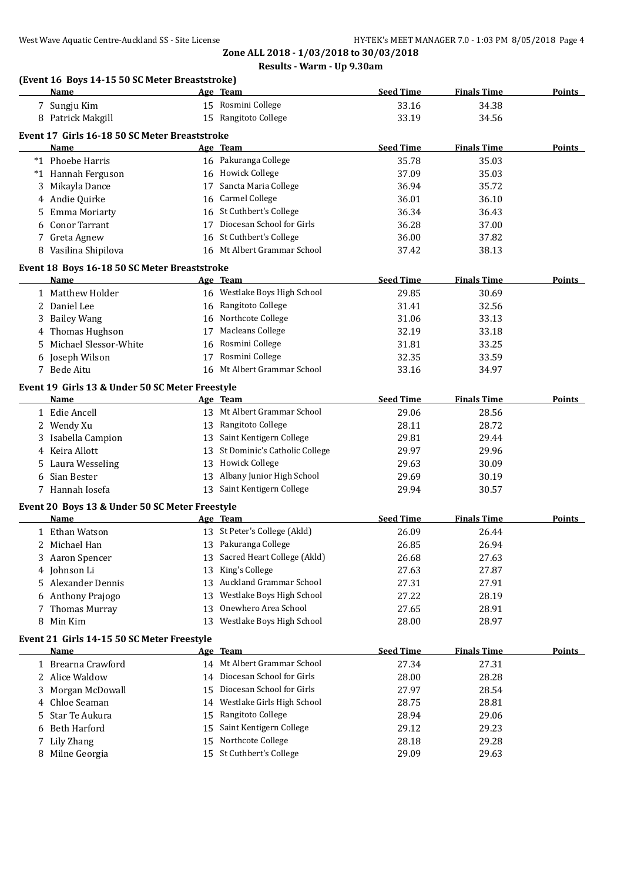## **(Event 16 Boys 14-15 50 SC Meter Breaststroke)**

|   | Name                                            |    | Age Team                         | <b>Seed Time</b> | <b>Finals Time</b> | <b>Points</b> |
|---|-------------------------------------------------|----|----------------------------------|------------------|--------------------|---------------|
|   | 7 Sungju Kim                                    |    | 15 Rosmini College               | 33.16            | 34.38              |               |
|   | 8 Patrick Makgill                               |    | 15 Rangitoto College             | 33.19            | 34.56              |               |
|   | Event 17 Girls 16-18 50 SC Meter Breaststroke   |    |                                  |                  |                    |               |
|   | Name                                            |    | Age Team                         | <b>Seed Time</b> | <b>Finals Time</b> | Points        |
|   | *1 Phoebe Harris                                |    | 16 Pakuranga College             | 35.78            | 35.03              |               |
|   | *1 Hannah Ferguson                              |    | 16 Howick College                | 37.09            | 35.03              |               |
|   | 3 Mikayla Dance                                 |    | 17 Sancta Maria College          | 36.94            | 35.72              |               |
|   | 4 Andie Quirke                                  |    | 16 Carmel College                | 36.01            | 36.10              |               |
|   | 5 Emma Moriarty                                 |    | 16 St Cuthbert's College         | 36.34            | 36.43              |               |
| 6 | <b>Conor Tarrant</b>                            |    | 17 Diocesan School for Girls     | 36.28            | 37.00              |               |
|   | 7 Greta Agnew                                   |    | 16 St Cuthbert's College         | 36.00            | 37.82              |               |
|   | 8 Vasilina Shipilova                            |    | 16 Mt Albert Grammar School      | 37.42            | 38.13              |               |
|   |                                                 |    |                                  |                  |                    |               |
|   | Event 18 Boys 16-18 50 SC Meter Breaststroke    |    |                                  |                  |                    |               |
|   | Name                                            |    | Age Team                         | <b>Seed Time</b> | <b>Finals Time</b> | <b>Points</b> |
|   | 1 Matthew Holder                                |    | 16 Westlake Boys High School     | 29.85            | 30.69              |               |
|   | 2 Daniel Lee                                    |    | 16 Rangitoto College             | 31.41            | 32.56              |               |
|   | 3 Bailey Wang                                   |    | 16 Northcote College             | 31.06            | 33.13              |               |
|   | 4 Thomas Hughson                                |    | 17 Macleans College              | 32.19            | 33.18              |               |
|   | 5 Michael Slessor-White                         |    | 16 Rosmini College               | 31.81            | 33.25              |               |
|   | 6 Joseph Wilson                                 |    | 17 Rosmini College               | 32.35            | 33.59              |               |
|   | 7 Bede Aitu                                     |    | 16 Mt Albert Grammar School      | 33.16            | 34.97              |               |
|   | Event 19 Girls 13 & Under 50 SC Meter Freestyle |    |                                  |                  |                    |               |
|   | Name                                            |    | Age Team                         | <b>Seed Time</b> | <b>Finals Time</b> | Points        |
|   | 1 Edie Ancell                                   |    | 13 Mt Albert Grammar School      | 29.06            | 28.56              |               |
|   | 2 Wendy Xu                                      |    | 13 Rangitoto College             | 28.11            | 28.72              |               |
|   | 3 Isabella Campion                              |    | 13 Saint Kentigern College       | 29.81            | 29.44              |               |
|   | 4 Keira Allott                                  |    | 13 St Dominic's Catholic College | 29.97            | 29.96              |               |
|   | 5 Laura Wesseling                               |    | 13 Howick College                | 29.63            | 30.09              |               |
| 6 | Sian Bester                                     |    | 13 Albany Junior High School     | 29.69            | 30.19              |               |
|   | 7 Hannah Iosefa                                 |    | 13 Saint Kentigern College       | 29.94            | 30.57              |               |
|   | Event 20 Boys 13 & Under 50 SC Meter Freestyle  |    |                                  |                  |                    |               |
|   | Name                                            |    | Age Team                         | <b>Seed Time</b> | <b>Finals Time</b> | Points        |
|   | 1 Ethan Watson                                  |    | 13 St Peter's College (Akld)     | 26.09            | 26.44              |               |
|   | 2 Michael Han                                   |    | 13 Pakuranga College             | 26.85            | 26.94              |               |
|   |                                                 |    | 13 Sacred Heart College (Akld)   |                  | 27.63              |               |
|   | 3 Aaron Spencer<br>4 Johnson Li                 |    | 13 King's College                | 26.68<br>27.63   | 27.87              |               |
|   | 5 Alexander Dennis                              |    | 13 Auckland Grammar School       | 27.31            | 27.91              |               |
|   | 6 Anthony Prajogo                               |    | 13 Westlake Boys High School     | 27.22            | 28.19              |               |
|   | 7 Thomas Murray                                 | 13 | Onewhero Area School             |                  | 28.91              |               |
|   | 8 Min Kim                                       |    | 13 Westlake Boys High School     | 27.65<br>28.00   | 28.97              |               |
|   |                                                 |    |                                  |                  |                    |               |
|   | Event 21 Girls 14-15 50 SC Meter Freestyle      |    |                                  |                  |                    |               |
|   | Name                                            |    | Age Team                         | <b>Seed Time</b> | <b>Finals Time</b> | <b>Points</b> |
|   | 1 Brearna Crawford                              |    | 14 Mt Albert Grammar School      | 27.34            | 27.31              |               |
|   | 2 Alice Waldow                                  |    | 14 Diocesan School for Girls     | 28.00            | 28.28              |               |
| 3 | Morgan McDowall                                 | 15 | Diocesan School for Girls        | 27.97            | 28.54              |               |
| 4 | Chloe Seaman                                    | 14 | Westlake Girls High School       | 28.75            | 28.81              |               |
| 5 | Star Te Aukura                                  | 15 | Rangitoto College                | 28.94            | 29.06              |               |
| 6 | <b>Beth Harford</b>                             | 15 | Saint Kentigern College          | 29.12            | 29.23              |               |
|   | 7 Lily Zhang                                    | 15 | Northcote College                | 28.18            | 29.28              |               |
|   | 8 Milne Georgia                                 |    | 15 St Cuthbert's College         | 29.09            | 29.63              |               |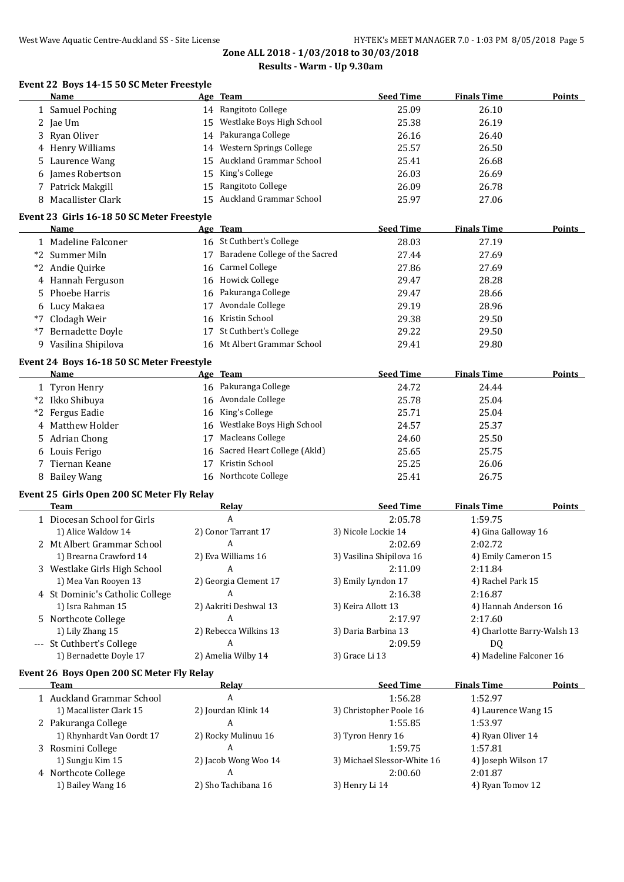## **Event 22 Boys 14-15 50 SC Meter Freestyle**

|      | <b>Name</b>                                |    | Age Team                       | <b>Seed Time</b> | <b>Finals Time</b> | <b>Points</b> |
|------|--------------------------------------------|----|--------------------------------|------------------|--------------------|---------------|
|      | 1 Samuel Poching                           |    | 14 Rangitoto College           | 25.09            | 26.10              |               |
|      | 2 Jae Um                                   | 15 | Westlake Boys High School      | 25.38            | 26.19              |               |
| 3    | Ryan Oliver                                |    | 14 Pakuranga College           | 26.16            | 26.40              |               |
|      | 4 Henry Williams                           |    | 14 Western Springs College     | 25.57            | 26.50              |               |
| 5.   | Laurence Wang                              | 15 | <b>Auckland Grammar School</b> | 25.41            | 26.68              |               |
| 6    | James Robertson                            | 15 | King's College                 | 26.03            | 26.69              |               |
|      | 7 Patrick Makgill                          | 15 | Rangitoto College              | 26.09            | 26.78              |               |
|      | 8 Macallister Clark                        | 15 | Auckland Grammar School        | 25.97            | 27.06              |               |
|      | Event 23 Girls 16-18 50 SC Meter Freestyle |    |                                |                  |                    |               |
|      | <b>Name</b>                                |    | Age Team                       | <b>Seed Time</b> | <b>Finals Time</b> | <b>Points</b> |
|      | 1 Madeline Falconer                        |    | 16 St Cuthbert's College       | 28.03            | 27.19              |               |
|      | *2 Summer Miln                             | 17 | Baradene College of the Sacred | 27.44            | 27.69              |               |
| *2   | Andie Quirke                               | 16 | <b>Carmel College</b>          | 27.86            | 27.69              |               |
|      | 4 Hannah Ferguson                          | 16 | <b>Howick College</b>          | 29.47            | 28.28              |               |
| 5.   | Phoebe Harris                              | 16 | Pakuranga College              | 29.47            | 28.66              |               |
|      | 6 Lucy Makaea                              | 17 | Avondale College               | 29.19            | 28.96              |               |
| $*7$ | Clodagh Weir                               | 16 | Kristin School                 | 29.38            | 29.50              |               |
| $*7$ | <b>Bernadette Doyle</b>                    | 17 | St Cuthbert's College          | 29.22            | 29.50              |               |
|      | 9 Vasilina Shipilova                       |    | 16 Mt Albert Grammar School    | 29.41            | 29.80              |               |
|      | Event 24 Boys 16-18 50 SC Meter Freestyle  |    |                                |                  |                    |               |
|      | Name                                       |    | Age Team                       | <b>Seed Time</b> | <b>Finals Time</b> | <b>Points</b> |
|      | 1 Tyron Henry                              |    | 16 Pakuranga College           | 24.72            | 24.44              |               |
| $*2$ | Ikko Shibuya                               | 16 | Avondale College               | 25.78            | 25.04              |               |
| *2   | Fergus Eadie                               | 16 | King's College                 | 25.71            | 25.04              |               |
| 4    | Matthew Holder                             | 16 | Westlake Boys High School      | 24.57            | 25.37              |               |
| 5.   | <b>Adrian Chong</b>                        | 17 | Macleans College               | 24.60            | 25.50              |               |
|      | 6 Louis Ferigo                             | 16 | Sacred Heart College (Akld)    | 25.65            | 25.75              |               |
|      | Tiernan Keane                              | 17 | Kristin School                 | 25.25            | 26.06              |               |
|      | 8 Bailey Wang                              |    | 16 Northcote College           | 25.41            | 26.75              |               |

## **Event 25 Girls Open 200 SC Meter Fly Relay**

| <b>Team</b>                     | Relav                 | <b>Seed Time</b>         | <b>Finals Time</b><br>Points |
|---------------------------------|-----------------------|--------------------------|------------------------------|
| 1 Diocesan School for Girls     | A                     | 2:05.78                  | 1:59.75                      |
| 1) Alice Waldow 14              | 2) Conor Tarrant 17   | 3) Nicole Lockie 14      | 4) Gina Galloway 16          |
| 2 Mt Albert Grammar School      | A                     | 2:02.69                  | 2:02.72                      |
| 1) Brearna Crawford 14          | 2) Eva Williams 16    | 3) Vasilina Shipilova 16 | 4) Emily Cameron 15          |
| 3 Westlake Girls High School    | A                     | 2:11.09                  | 2:11.84                      |
| 1) Mea Van Rooyen 13            | 2) Georgia Clement 17 | 3) Emily Lyndon 17       | 4) Rachel Park 15            |
| 4 St Dominic's Catholic College | A                     | 2:16.38                  | 2:16.87                      |
| 1) Isra Rahman 15               | 2) Aakriti Deshwal 13 | 3) Keira Allott 13       | 4) Hannah Anderson 16        |
| 5 Northcote College             | A                     | 2:17.97                  | 2:17.60                      |
| 1) Lily Zhang 15                | 2) Rebecca Wilkins 13 | 3) Daria Barbina 13      | 4) Charlotte Barry-Walsh 13  |
| --- St Cuthbert's College       | A                     | 2:09.59                  | D <sub>0</sub>               |
| 1) Bernadette Doyle 17          | 2) Amelia Wilby 14    | 3) Grace Li 13           | 4) Madeline Falconer 16      |

#### **Event 26 Boys Open 200 SC Meter Fly Relay**

| Team                      | Relay                | <b>Seed Time</b>            | <b>Finals Time</b><br><b>Points</b> |
|---------------------------|----------------------|-----------------------------|-------------------------------------|
| 1 Auckland Grammar School | A                    | 1:56.28                     | 1:52.97                             |
| 1) Macallister Clark 15   | 2) Jourdan Klink 14  | 3) Christopher Poole 16     | 4) Laurence Wang 15                 |
| 2 Pakuranga College       | A                    | 1:55.85                     | 1:53.97                             |
| 1) Rhynhardt Van Oordt 17 | 2) Rocky Mulinuu 16  | 3) Tyron Henry 16           | 4) Ryan Oliver 14                   |
| 3 Rosmini College         | A                    | 1:59.75                     | 1:57.81                             |
| 1) Sungju Kim 15          | 2) Jacob Wong Woo 14 | 3) Michael Slessor-White 16 | 4) Joseph Wilson 17                 |
| 4 Northcote College       | A                    | 2:00.60                     | 2:01.87                             |
| 1) Bailey Wang 16         | 2) Sho Tachibana 16  | 3) Henry Li 14              | 4) Ryan Tomov 12                    |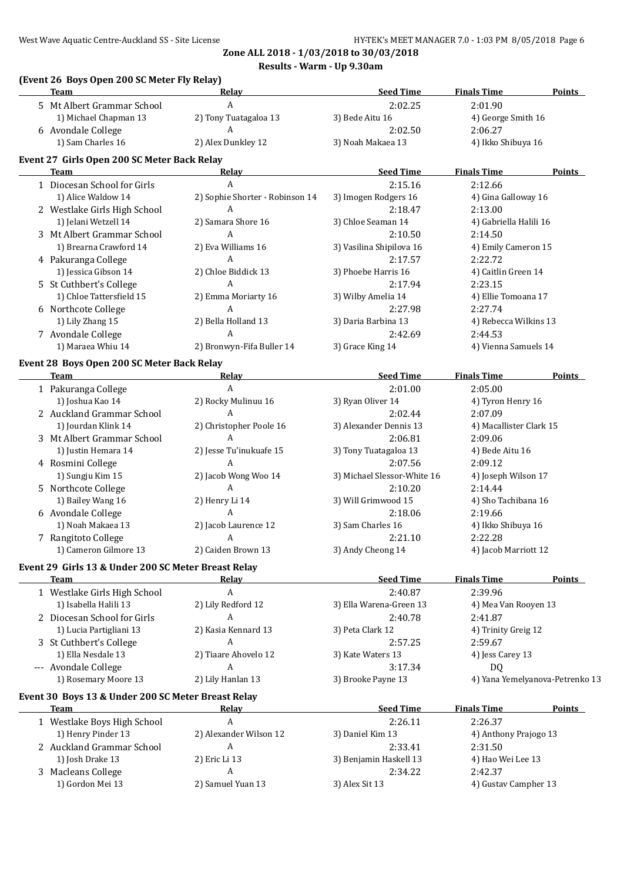#### **(Event 26 Boys Open 200 SC Meter Fly Relay)**

| <b>Team</b>                                         | Relay                           | <b>Seed Time</b>            | <b>Finals Time</b>              | Points        |
|-----------------------------------------------------|---------------------------------|-----------------------------|---------------------------------|---------------|
| 5 Mt Albert Grammar School                          | A                               | 2:02.25                     | 2:01.90                         |               |
| 1) Michael Chapman 13                               | 2) Tony Tuatagaloa 13           | 3) Bede Aitu 16             | 4) George Smith 16              |               |
| 6 Avondale College                                  | A                               | 2:02.50                     | 2:06.27                         |               |
| 1) Sam Charles 16                                   | 2) Alex Dunkley 12              | 3) Noah Makaea 13           | 4) Ikko Shibuya 16              |               |
| Event 27 Girls Open 200 SC Meter Back Relay         |                                 |                             |                                 |               |
| Team                                                | Relay                           | <b>Seed Time</b>            | <b>Finals Time</b>              | <b>Points</b> |
| 1 Diocesan School for Girls                         | A                               | 2:15.16                     | 2:12.66                         |               |
| 1) Alice Waldow 14                                  | 2) Sophie Shorter - Robinson 14 | 3) Imogen Rodgers 16        | 4) Gina Galloway 16             |               |
| 2 Westlake Girls High School                        | A                               | 2:18.47                     | 2:13.00                         |               |
| 1) Jelani Wetzell 14                                | 2) Samara Shore 16              | 3) Chloe Seaman 14          | 4) Gabriella Halili 16          |               |
| 3 Mt Albert Grammar School                          | A                               | 2:10.50                     | 2:14.50                         |               |
| 1) Brearna Crawford 14                              | 2) Eva Williams 16              | 3) Vasilina Shipilova 16    | 4) Emily Cameron 15             |               |
| 4 Pakuranga College                                 | A                               | 2:17.57                     | 2:22.72                         |               |
| 1) Jessica Gibson 14                                | 2) Chloe Biddick 13             | 3) Phoebe Harris 16         | 4) Caitlin Green 14             |               |
| 5 St Cuthbert's College                             | A                               | 2:17.94                     | 2:23.15                         |               |
| 1) Chloe Tattersfield 15                            | 2) Emma Moriarty 16             | 3) Wilby Amelia 14          | 4) Ellie Tomoana 17             |               |
| 6 Northcote College                                 | A                               | 2:27.98                     | 2:27.74                         |               |
| 1) Lily Zhang 15                                    | 2) Bella Holland 13             | 3) Daria Barbina 13         | 4) Rebecca Wilkins 13           |               |
| 7 Avondale College                                  | A                               | 2:42.69                     | 2:44.53                         |               |
| 1) Maraea Whiu 14                                   | 2) Bronwyn-Fifa Buller 14       | 3) Grace King 14            | 4) Vienna Samuels 14            |               |
| Event 28 Boys Open 200 SC Meter Back Relay          |                                 |                             |                                 |               |
| <b>Team</b>                                         | Relay                           | <b>Seed Time</b>            | <b>Finals Time</b>              | Points        |
| 1 Pakuranga College                                 | $\mathbf{A}$                    | 2:01.00                     | 2:05.00                         |               |
| 1) Joshua Kao 14                                    | 2) Rocky Mulinuu 16             | 3) Ryan Oliver 14           | 4) Tyron Henry 16               |               |
| 2 Auckland Grammar School                           | A                               | 2:02.44                     | 2:07.09                         |               |
| 1) Jourdan Klink 14                                 | 2) Christopher Poole 16         | 3) Alexander Dennis 13      | 4) Macallister Clark 15         |               |
| 3 Mt Albert Grammar School                          | A                               | 2:06.81                     | 2:09.06                         |               |
| 1) Justin Hemara 14                                 | 2) Jesse Tu'inukuafe 15         | 3) Tony Tuatagaloa 13       | 4) Bede Aitu 16                 |               |
| 4 Rosmini College                                   | A                               | 2:07.56                     | 2:09.12                         |               |
| 1) Sungju Kim 15                                    | 2) Jacob Wong Woo 14            | 3) Michael Slessor-White 16 | 4) Joseph Wilson 17             |               |
| 5 Northcote College                                 | A                               | 2:10.20                     | 2:14.44                         |               |
| 1) Bailey Wang 16                                   | 2) Henry Li 14                  | 3) Will Grimwood 15         | 4) Sho Tachibana 16             |               |
| 6 Avondale College                                  | A                               | 2:18.06                     | 2:19.66                         |               |
| 1) Noah Makaea 13                                   | 2) Jacob Laurence 12            | 3) Sam Charles 16           | 4) Ikko Shibuya 16              |               |
| 7 Rangitoto College                                 | A                               | 2:21.10                     | 2:22.28                         |               |
| 1) Cameron Gilmore 13                               | 2) Caiden Brown 13              | 3) Andy Cheong 14           | 4) Jacob Marriott 12            |               |
|                                                     |                                 |                             |                                 |               |
| Event 29 Girls 13 & Under 200 SC Meter Breast Relay |                                 |                             |                                 |               |
| <b>Team</b>                                         | <u>Relav</u>                    | <b>Seed Time</b>            | <b>Finals Time</b>              | Points        |
| 1 Westlake Girls High School                        | A                               | 2:40.87                     | 2:39.96                         |               |
| 1) Isabella Halili 13                               | 2) Lily Redford 12              | 3) Ella Warena-Green 13     | 4) Mea Van Rooyen 13            |               |
| 2 Diocesan School for Girls                         | A                               | 2:40.78                     | 2:41.87                         |               |
| 1) Lucia Partigliani 13                             | 2) Kasia Kennard 13             | 3) Peta Clark 12            | 4) Trinity Greig 12             |               |
| 3 St Cuthbert's College                             | A                               | 2:57.25                     | 2:59.67                         |               |
| 1) Ella Nesdale 13                                  | 2) Tiaare Ahovelo 12            | 3) Kate Waters 13           | 4) Jess Carey 13                |               |
| --- Avondale College                                | А                               | 3:17.34                     | DQ                              |               |
| 1) Rosemary Moore 13                                | 2) Lily Hanlan 13               | 3) Brooke Payne 13          | 4) Yana Yemelyanova-Petrenko 13 |               |
| Event 30 Boys 13 & Under 200 SC Meter Breast Relay  |                                 |                             |                                 |               |
| <b>Team</b>                                         | Relay                           | <b>Seed Time</b>            | <b>Finals Time</b>              | <b>Points</b> |
| 1 Westlake Boys High School                         | $\boldsymbol{A}$                | 2:26.11                     | 2:26.37                         |               |
| 1) Henry Pinder 13                                  | 2) Alexander Wilson 12          | 3) Daniel Kim 13            | 4) Anthony Prajogo 13           |               |
| 2 Auckland Grammar School                           | A                               | 2:33.41                     | 2:31.50                         |               |
| 1) Josh Drake 13                                    | 2) Eric Li 13                   | 3) Benjamin Haskell 13      | 4) Hao Wei Lee 13               |               |
|                                                     |                                 |                             |                                 |               |
| 3 Macleans College                                  | A<br>2) Samuel Yuan 13          | 2:34.22                     | 2:42.37                         |               |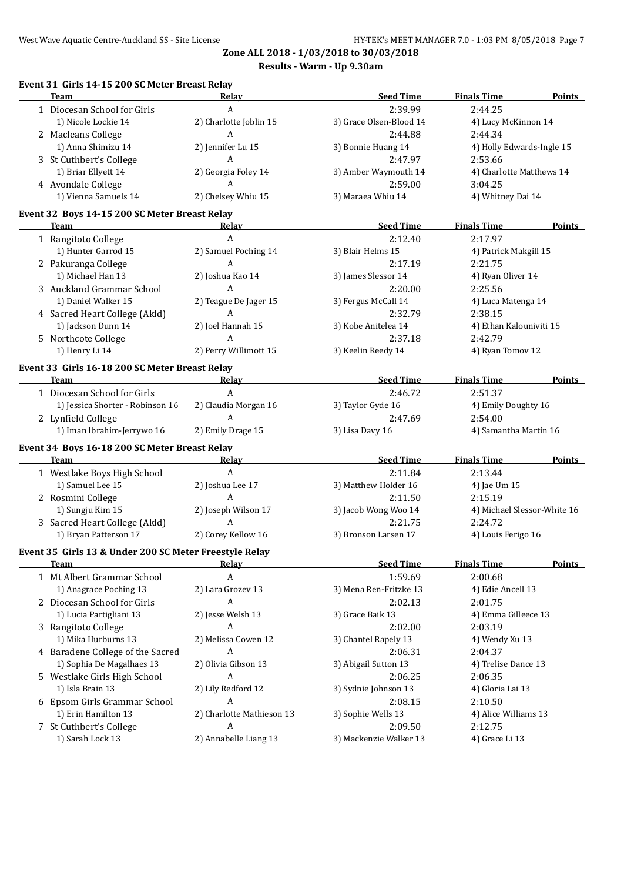| <b>Team</b>                                            | Relay                                         | <b>Seed Time</b>        | <b>Finals Time</b>          | <b>Points</b> |
|--------------------------------------------------------|-----------------------------------------------|-------------------------|-----------------------------|---------------|
| 1 Diocesan School for Girls                            | $\mathbf{A}$                                  | 2:39.99                 | 2:44.25                     |               |
| 1) Nicole Lockie 14                                    | 2) Charlotte Joblin 15                        | 3) Grace Olsen-Blood 14 | 4) Lucy McKinnon 14         |               |
| 2 Macleans College                                     | A                                             | 2:44.88                 | 2:44.34                     |               |
| 1) Anna Shimizu 14                                     | 2) Jennifer Lu 15                             | 3) Bonnie Huang 14      | 4) Holly Edwards-Ingle 15   |               |
| 3 St Cuthbert's College                                | $\boldsymbol{A}$                              | 2:47.97                 | 2:53.66                     |               |
| 1) Briar Ellyett 14                                    | 2) Georgia Foley 14                           | 3) Amber Waymouth 14    | 4) Charlotte Matthews 14    |               |
| 4 Avondale College                                     | A                                             | 2:59.00                 | 3:04.25                     |               |
| 1) Vienna Samuels 14                                   | 2) Chelsey Whiu 15                            | 3) Maraea Whiu 14       | 4) Whitney Dai 14           |               |
|                                                        |                                               |                         |                             |               |
| Event 32 Boys 14-15 200 SC Meter Breast Relay          |                                               |                         |                             |               |
| <b>Team</b>                                            | Relav                                         | <b>Seed Time</b>        | <b>Finals Time</b>          | Points        |
| 1 Rangitoto College                                    | A                                             | 2:12.40                 | 2:17.97                     |               |
| 1) Hunter Garrod 15                                    | 2) Samuel Poching 14                          | 3) Blair Helms 15       | 4) Patrick Makgill 15       |               |
| 2 Pakuranga College                                    | A                                             | 2:17.19                 | 2:21.75                     |               |
| 1) Michael Han 13                                      | 2) Joshua Kao 14                              | 3) James Slessor 14     | 4) Ryan Oliver 14           |               |
| 3 Auckland Grammar School                              | A                                             | 2:20.00                 | 2:25.56                     |               |
| 1) Daniel Walker 15                                    | 2) Teague De Jager 15                         | 3) Fergus McCall 14     | 4) Luca Matenga 14          |               |
| 4 Sacred Heart College (Akld)                          | $\mathbf{A}$                                  | 2:32.79                 | 2:38.15                     |               |
| 1) Jackson Dunn 14                                     | 2) Joel Hannah 15                             | 3) Kobe Anitelea 14     | 4) Ethan Kalouniviti 15     |               |
| 5 Northcote College                                    | $\mathbf{A}$                                  | 2:37.18                 | 2:42.79                     |               |
| 1) Henry Li 14                                         | 2) Perry Willimott 15                         | 3) Keelin Reedy 14      | 4) Ryan Tomov 12            |               |
|                                                        |                                               |                         |                             |               |
| Event 33 Girls 16-18 200 SC Meter Breast Relay         |                                               |                         |                             |               |
| Team                                                   | <b>Relay</b>                                  | <b>Seed Time</b>        | <b>Finals Time</b>          | <b>Points</b> |
| 1 Diocesan School for Girls                            | $\mathbf{A}$                                  | 2:46.72                 | 2:51.37                     |               |
| 1) Jessica Shorter - Robinson 16                       | 2) Claudia Morgan 16                          | 3) Taylor Gyde 16       | 4) Emily Doughty 16         |               |
| 2 Lynfield College                                     | A                                             | 2:47.69                 | 2:54.00                     |               |
| 1) Iman Ibrahim-Jerrywo 16                             | 2) Emily Drage 15                             | 3) Lisa Davy 16         | 4) Samantha Martin 16       |               |
| Event 34 Boys 16-18 200 SC Meter Breast Relay          |                                               |                         |                             |               |
| Team                                                   | <u>Relav</u>                                  | <b>Seed Time</b>        | <b>Finals Time</b>          | Points        |
| 1 Westlake Boys High School                            | $\boldsymbol{A}$                              | 2:11.84                 | 2:13.44                     |               |
| 1) Samuel Lee 15                                       | 2) Joshua Lee 17                              | 3) Matthew Holder 16    | 4) Jae Um 15                |               |
| 2 Rosmini College                                      | A                                             | 2:11.50                 | 2:15.19                     |               |
| 1) Sungju Kim 15                                       | 2) Joseph Wilson 17                           | 3) Jacob Wong Woo 14    | 4) Michael Slessor-White 16 |               |
| 3 Sacred Heart College (Akld)                          | A                                             | 2:21.75                 | 2:24.72                     |               |
| 1) Bryan Patterson 17                                  | 2) Corey Kellow 16                            | 3) Bronson Larsen 17    | 4) Louis Ferigo 16          |               |
|                                                        |                                               |                         |                             |               |
| Event 35 Girls 13 & Under 200 SC Meter Freestyle Relay |                                               |                         |                             |               |
| leam                                                   | <u>Kelay</u>                                  | <b>Seed Time</b>        | <b>Finals Time</b>          | Points        |
| 1 Mt Albert Grammar School                             | A                                             | 1:59.69                 | 2:00.68                     |               |
| 1) Anagrace Poching 13                                 | 2) Lara Grozev 13                             | 3) Mena Ren-Fritzke 13  | 4) Edie Ancell 13           |               |
| 2 Diocesan School for Girls                            | A                                             | 2:02.13                 | 2:01.75                     |               |
| 1) Lucia Partigliani 13                                | 2) Jesse Welsh 13                             | 3) Grace Baik 13        | 4) Emma Gilleece 13         |               |
| 3 Rangitoto College                                    | A                                             | 2:02.00                 | 2:03.19                     |               |
| 1) Mika Hurburns 13                                    | 2) Melissa Cowen 12                           | 3) Chantel Rapely 13    | 4) Wendy Xu 13              |               |
| 4 Baradene College of the Sacred                       | A                                             | 2:06.31                 | 2:04.37                     |               |
| 1) Sophia De Magalhaes 13                              | 2) Olivia Gibson 13                           | 3) Abigail Sutton 13    | 4) Trelise Dance 13         |               |
| 5 Westlake Girls High School                           | A                                             | 2:06.25                 | 2:06.35                     |               |
| 1) Isla Brain 13                                       | 2) Lily Redford 12                            | 3) Sydnie Johnson 13    | 4) Gloria Lai 13            |               |
|                                                        | A                                             |                         |                             |               |
| 6 Epsom Girls Grammar School                           |                                               | 2:08.15                 | 2:10.50                     |               |
| 1) Erin Hamilton 13                                    | 2) Charlotte Mathieson 13<br>$\boldsymbol{A}$ | 3) Sophie Wells 13      | 4) Alice Williams 13        |               |
| 7 St Cuthbert's College                                |                                               | 2:09.50                 | 2:12.75                     |               |
| 1) Sarah Lock 13                                       | 2) Annabelle Liang 13                         | 3) Mackenzie Walker 13  | 4) Grace Li 13              |               |
|                                                        |                                               |                         |                             |               |

# **Event 31 Girls 14-15 200 SC Meter Breast Relay**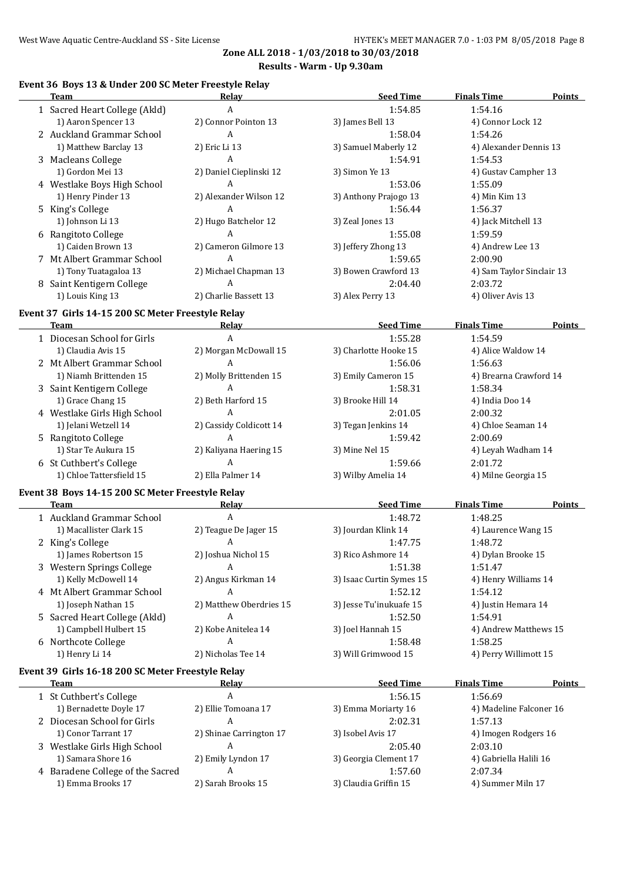## **Event 36 Boys 13 & Under 200 SC Meter Freestyle Relay**

| Team                                              | <u>Relav</u>                 | <b>Seed Time</b>         | <b>Finals Time</b>        | <b>Points</b> |
|---------------------------------------------------|------------------------------|--------------------------|---------------------------|---------------|
| 1 Sacred Heart College (Akld)                     | A                            | 1:54.85                  | 1:54.16                   |               |
| 1) Aaron Spencer 13                               | 2) Connor Pointon 13         | 3) James Bell 13         | 4) Connor Lock 12         |               |
| 2 Auckland Grammar School                         | A                            | 1:58.04                  | 1:54.26                   |               |
| 1) Matthew Barclay 13                             | 2) Eric Li 13                | 3) Samuel Maberly 12     | 4) Alexander Dennis 13    |               |
| 3 Macleans College                                | A                            | 1:54.91                  | 1:54.53                   |               |
| 1) Gordon Mei 13                                  | 2) Daniel Cieplinski 12      | 3) Simon Ye 13           | 4) Gustav Campher 13      |               |
| 4 Westlake Boys High School                       | A                            | 1:53.06                  | 1:55.09                   |               |
| 1) Henry Pinder 13                                | 2) Alexander Wilson 12       | 3) Anthony Prajogo 13    | 4) Min Kim 13             |               |
| 5 King's College                                  | A                            | 1:56.44                  | 1:56.37                   |               |
| 1) Johnson Li 13                                  | 2) Hugo Batchelor 12         | 3) Zeal Jones 13         | 4) Jack Mitchell 13       |               |
| 6 Rangitoto College                               | A                            | 1:55.08                  | 1:59.59                   |               |
| 1) Caiden Brown 13                                | 2) Cameron Gilmore 13        | 3) Jeffery Zhong 13      | 4) Andrew Lee 13          |               |
| 7 Mt Albert Grammar School                        | A                            | 1:59.65                  | 2:00.90                   |               |
| 1) Tony Tuatagaloa 13                             | 2) Michael Chapman 13        | 3) Bowen Crawford 13     | 4) Sam Taylor Sinclair 13 |               |
| 8 Saint Kentigern College                         | $\overline{A}$               | 2:04.40                  | 2:03.72                   |               |
| 1) Louis King 13                                  | 2) Charlie Bassett 13        | 3) Alex Perry 13         | 4) Oliver Avis 13         |               |
|                                                   |                              |                          |                           |               |
| Event 37 Girls 14-15 200 SC Meter Freestyle Relay |                              |                          |                           |               |
| <b>Team</b>                                       | Relay                        | <b>Seed Time</b>         | <b>Finals Time</b>        | Points        |
| 1 Diocesan School for Girls                       | $\mathbf{A}$                 | 1:55.28                  | 1:54.59                   |               |
| 1) Claudia Avis 15                                | 2) Morgan McDowall 15        | 3) Charlotte Hooke 15    | 4) Alice Waldow 14        |               |
| 2 Mt Albert Grammar School                        | A                            | 1:56.06                  | 1:56.63                   |               |
| 1) Niamh Brittenden 15                            | 2) Molly Brittenden 15       | 3) Emily Cameron 15      | 4) Brearna Crawford 14    |               |
| 3 Saint Kentigern College                         | A                            | 1:58.31                  | 1:58.34                   |               |
| 1) Grace Chang 15                                 | 2) Beth Harford 15           | 3) Brooke Hill 14        | 4) India Doo 14           |               |
| 4 Westlake Girls High School                      | A                            | 2:01.05                  | 2:00.32                   |               |
| 1) Jelani Wetzell 14                              | 2) Cassidy Coldicott 14      | 3) Tegan Jenkins 14      | 4) Chloe Seaman 14        |               |
| 5 Rangitoto College                               | A                            | 1:59.42                  | 2:00.69                   |               |
| 1) Star Te Aukura 15                              | 2) Kaliyana Haering 15       | 3) Mine Nel 15           | 4) Leyah Wadham 14        |               |
| 6 St Cuthbert's College                           | A                            | 1:59.66                  | 2:01.72                   |               |
| 1) Chloe Tattersfield 15                          | 2) Ella Palmer 14            | 3) Wilby Amelia 14       | 4) Milne Georgia 15       |               |
| Event 38 Boys 14-15 200 SC Meter Freestyle Relay  |                              |                          |                           |               |
| <b>Team</b>                                       | <b>Relay</b>                 | <b>Seed Time</b>         | <b>Finals Time</b>        | Points        |
| 1 Auckland Grammar School                         | A                            | 1:48.72                  | 1:48.25                   |               |
| 1) Macallister Clark 15                           | 2) Teague De Jager 15        | 3) Jourdan Klink 14      | 4) Laurence Wang 15       |               |
| 2 King's College                                  | A                            | 1:47.75                  | 1:48.72                   |               |
| 1) James Robertson 15                             | 2) Joshua Nichol 15          | 3) Rico Ashmore 14       | 4) Dylan Brooke 15        |               |
| 3 Western Springs College                         | A                            | 1:51.38                  | 1:51.47                   |               |
| 1) Kelly McDowell 14                              | 2) Angus Kirkman 14          | 3) Isaac Curtin Symes 15 | 4) Henry Williams 14      |               |
| 4 Mt Albert Grammar School                        | A                            | 1:52.12                  | 1:54.12                   |               |
| 1) Joseph Nathan 15                               | 2) Matthew Oberdries 15      | 3) Jesse Tu'inukuafe 15  | 4) Justin Hemara 14       |               |
| 5 Sacred Heart College (Akld)                     | A                            | 1:52.50                  | 1:54.91                   |               |
| 1) Campbell Hulbert 15                            | 2) Kobe Anitelea 14          | 3) Joel Hannah 15        | 4) Andrew Matthews 15     |               |
| 6 Northcote College                               | A                            | 1:58.48                  | 1:58.25                   |               |
| 1) Henry Li 14                                    | 2) Nicholas Tee 14           | 3) Will Grimwood 15      | 4) Perry Willimott 15     |               |
| Event 39 Girls 16-18 200 SC Meter Freestyle Relay |                              |                          |                           |               |
| Team                                              | Relay                        | <b>Seed Time</b>         | <b>Finals Time</b>        | <b>Points</b> |
| 1 St Cuthbert's College                           | A                            | 1:56.15                  | 1:56.69                   |               |
| 1) Bernadette Doyle 17                            | 2) Ellie Tomoana 17          | 3) Emma Moriarty 16      | 4) Madeline Falconer 16   |               |
|                                                   | A                            |                          |                           |               |
| 2 Diocesan School for Girls                       |                              | 2:02.31                  | 1:57.13                   |               |
| 1) Conor Tarrant 17                               | 2) Shinae Carrington 17<br>A | 3) Isobel Avis 17        | 4) Imogen Rodgers 16      |               |
| 3 Westlake Girls High School                      |                              | 2:05.40                  | 2:03.10                   |               |
| 1) Samara Shore 16                                | 2) Emily Lyndon 17<br>A      | 3) Georgia Clement 17    | 4) Gabriella Halili 16    |               |
| 4 Baradene College of the Sacred                  |                              | 1:57.60                  | 2:07.34                   |               |
| 1) Emma Brooks 17                                 | 2) Sarah Brooks 15           | 3) Claudia Griffin 15    | 4) Summer Miln 17         |               |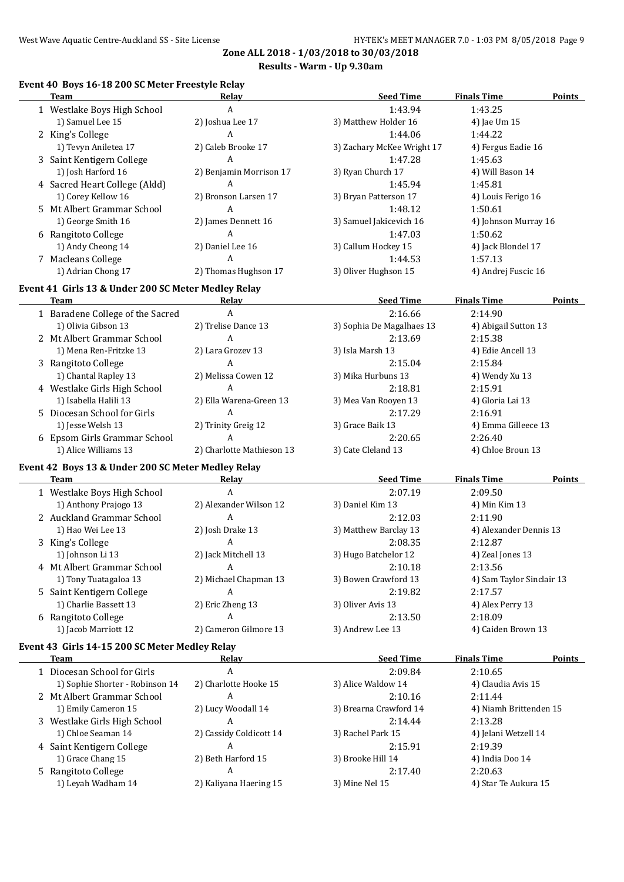## **Event 40 Boys 16-18 200 SC Meter Freestyle Relay**

| <b>Team</b>                                         | Relay                     | <b>Seed Time</b>           | <b>Finals Time</b>        | <b>Points</b> |
|-----------------------------------------------------|---------------------------|----------------------------|---------------------------|---------------|
| 1 Westlake Boys High School                         | $\boldsymbol{A}$          | 1:43.94                    | 1:43.25                   |               |
| 1) Samuel Lee 15                                    | 2) Joshua Lee 17          | 3) Matthew Holder 16       | 4) Jae Um 15              |               |
| 2 King's College                                    | A                         | 1:44.06                    | 1:44.22                   |               |
| 1) Tevyn Aniletea 17                                | 2) Caleb Brooke 17        | 3) Zachary McKee Wright 17 | 4) Fergus Eadie 16        |               |
| 3 Saint Kentigern College                           | A                         | 1:47.28                    | 1:45.63                   |               |
| 1) Josh Harford 16                                  | 2) Benjamin Morrison 17   | 3) Ryan Church 17          | 4) Will Bason 14          |               |
| 4 Sacred Heart College (Akld)                       | A                         | 1:45.94                    | 1:45.81                   |               |
| 1) Corey Kellow 16                                  | 2) Bronson Larsen 17      | 3) Bryan Patterson 17      | 4) Louis Ferigo 16        |               |
|                                                     | A                         |                            |                           |               |
| 5 Mt Albert Grammar School                          |                           | 1:48.12                    | 1:50.61                   |               |
| 1) George Smith 16                                  | 2) James Dennett 16       | 3) Samuel Jakicevich 16    | 4) Johnson Murray 16      |               |
| 6 Rangitoto College                                 | A                         | 1:47.03                    | 1:50.62                   |               |
| 1) Andy Cheong 14                                   | 2) Daniel Lee 16          | 3) Callum Hockey 15        | 4) Jack Blondel 17        |               |
| 7 Macleans College                                  | A                         | 1:44.53                    | 1:57.13                   |               |
| 1) Adrian Chong 17                                  | 2) Thomas Hughson 17      | 3) Oliver Hughson 15       | 4) Andrej Fuscic 16       |               |
| Event 41 Girls 13 & Under 200 SC Meter Medley Relay |                           |                            |                           |               |
| Team                                                | Relay                     | <b>Seed Time</b>           | <b>Finals Time</b>        | Points        |
| 1 Baradene College of the Sacred                    | A                         | 2:16.66                    | 2:14.90                   |               |
| 1) Olivia Gibson 13                                 | 2) Trelise Dance 13       | 3) Sophia De Magalhaes 13  | 4) Abigail Sutton 13      |               |
| 2 Mt Albert Grammar School                          | A                         | 2:13.69                    | 2:15.38                   |               |
| 1) Mena Ren-Fritzke 13                              | 2) Lara Grozev 13         | 3) Isla Marsh 13           | 4) Edie Ancell 13         |               |
|                                                     | A                         |                            | 2:15.84                   |               |
| 3 Rangitoto College                                 |                           | 2:15.04                    |                           |               |
| 1) Chantal Rapley 13                                | 2) Melissa Cowen 12       | 3) Mika Hurbuns 13         | 4) Wendy Xu 13            |               |
| 4 Westlake Girls High School                        | A                         | 2:18.81                    | 2:15.91                   |               |
| 1) Isabella Halili 13                               | 2) Ella Warena-Green 13   | 3) Mea Van Rooyen 13       | 4) Gloria Lai 13          |               |
| 5 Diocesan School for Girls                         | A                         | 2:17.29                    | 2:16.91                   |               |
| 1) Jesse Welsh 13                                   | 2) Trinity Greig 12       | 3) Grace Baik 13           | 4) Emma Gilleece 13       |               |
| 6 Epsom Girls Grammar School                        | A                         | 2:20.65                    | 2:26.40                   |               |
| 1) Alice Williams 13                                | 2) Charlotte Mathieson 13 | 3) Cate Cleland 13         | 4) Chloe Broun 13         |               |
| Event 42 Boys 13 & Under 200 SC Meter Medley Relay  |                           |                            |                           |               |
| <b>Team</b>                                         | Relay                     | <b>Seed Time</b>           | <b>Finals Time</b>        | Points        |
| 1 Westlake Boys High School                         | $\mathbf{A}$              | 2:07.19                    | 2:09.50                   |               |
| 1) Anthony Prajogo 13                               | 2) Alexander Wilson 12    | 3) Daniel Kim 13           | 4) Min Kim 13             |               |
| 2 Auckland Grammar School                           | $\boldsymbol{A}$          |                            | 2:11.90                   |               |
|                                                     |                           | 2:12.03                    |                           |               |
| 1) Hao Wei Lee 13                                   | 2) Josh Drake 13          | 3) Matthew Barclay 13      | 4) Alexander Dennis 13    |               |
| 3 King's College                                    | A                         | 2:08.35                    | 2:12.87                   |               |
| 1) Johnson Li 13                                    | 2) Jack Mitchell 13       | 3) Hugo Batchelor 12       | 4) Zeal Jones 13          |               |
| 4 Mt Albert Grammar School                          | A                         | 2:10.18                    | 2:13.56                   |               |
| 1) Tony Tuatagaloa 13                               | 2) Michael Chapman 13     | 3) Bowen Crawford 13       | 4) Sam Taylor Sinclair 13 |               |
| 5 Saint Kentigern College                           | A                         | 2:19.82                    | 2:17.57                   |               |
| 1) Charlie Bassett 13                               | 2) Eric Zheng 13          | 3) Oliver Avis 13          | 4) Alex Perry 13          |               |
| 6 Rangitoto College                                 | A                         | 2:13.50                    | 2:18.09                   |               |
| 1) Jacob Marriott 12                                | 2) Cameron Gilmore 13     | 3) Andrew Lee 13           | 4) Caiden Brown 13        |               |
| Event 43 Girls 14-15 200 SC Meter Medley Relay      |                           |                            |                           |               |
| <b>Team</b>                                         | Relav                     | <b>Seed Time</b>           | <b>Finals Time</b>        | <b>Points</b> |
| 1 Diocesan School for Girls                         | A                         | 2:09.84                    | 2:10.65                   |               |
| 1) Sophie Shorter - Robinson 14                     | 2) Charlotte Hooke 15     | 3) Alice Waldow 14         | 4) Claudia Avis 15        |               |
|                                                     |                           |                            |                           |               |
| 2 Mt Albert Grammar School                          | A                         | 2:10.16                    | 2:11.44                   |               |
| 1) Emily Cameron 15                                 | 2) Lucy Woodall 14        | 3) Brearna Crawford 14     | 4) Niamh Brittenden 15    |               |
| 3 Westlake Girls High School                        | A                         | 2:14.44                    | 2:13.28                   |               |
| 1) Chloe Seaman 14                                  | 2) Cassidy Coldicott 14   | 3) Rachel Park 15          | 4) Jelani Wetzell 14      |               |
| 4 Saint Kentigern College                           | A                         | 2:15.91                    | 2:19.39                   |               |
| 1) Grace Chang 15                                   | 2) Beth Harford 15        | 3) Brooke Hill 14          | 4) India Doo 14           |               |
| 5 Rangitoto College                                 | A                         | 2:17.40                    | 2:20.63                   |               |
| 1) Leyah Wadham 14                                  | 2) Kaliyana Haering 15    | 3) Mine Nel 15             | 4) Star Te Aukura 15      |               |
|                                                     |                           |                            |                           |               |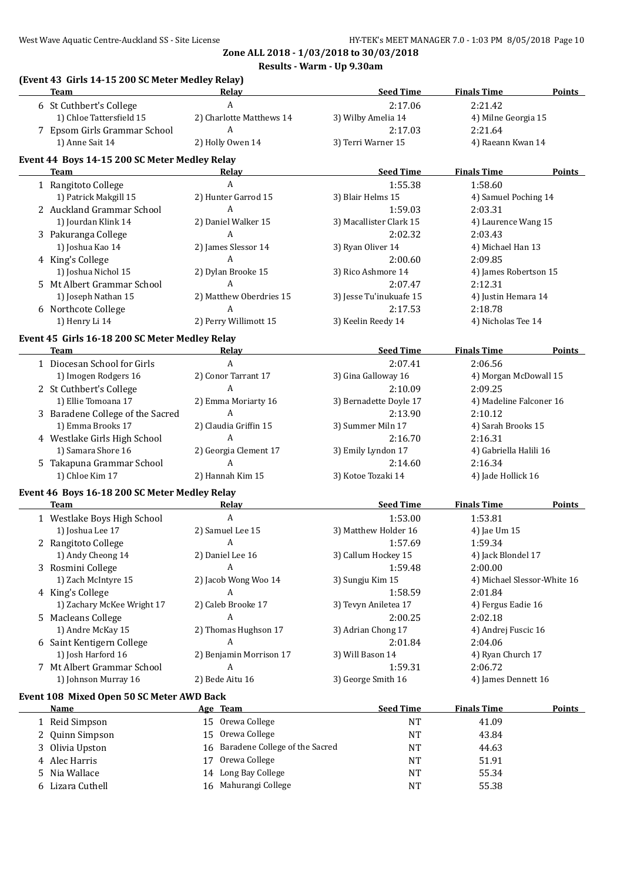|   | Team                                                  | Relay                                       | <b>Seed Time</b>        | <b>Finals Time</b>          | Points        |
|---|-------------------------------------------------------|---------------------------------------------|-------------------------|-----------------------------|---------------|
|   | 6 St Cuthbert's College                               | $\boldsymbol{A}$                            | 2:17.06                 | 2:21.42                     |               |
|   | 1) Chloe Tattersfield 15                              | 2) Charlotte Matthews 14                    | 3) Wilby Amelia 14      | 4) Milne Georgia 15         |               |
|   | 7 Epsom Girls Grammar School                          | A                                           | 2:17.03                 | 2:21.64                     |               |
|   | 1) Anne Sait 14                                       | 2) Holly Owen 14                            | 3) Terri Warner 15      | 4) Raeann Kwan 14           |               |
|   | Event 44 Boys 14-15 200 SC Meter Medley Relay         |                                             |                         |                             |               |
|   | Team                                                  | Relay                                       | <b>Seed Time</b>        | <b>Finals Time</b>          | Points        |
|   | 1 Rangitoto College                                   | A                                           | 1:55.38                 | 1:58.60                     |               |
|   | 1) Patrick Makgill 15                                 | 2) Hunter Garrod 15                         | 3) Blair Helms 15       | 4) Samuel Poching 14        |               |
|   | 2 Auckland Grammar School                             | $\mathbf{A}$                                | 1:59.03                 | 2:03.31                     |               |
|   | 1) Jourdan Klink 14                                   | 2) Daniel Walker 15                         | 3) Macallister Clark 15 | 4) Laurence Wang 15         |               |
|   |                                                       | $\mathbf{A}$                                |                         |                             |               |
|   | 3 Pakuranga College                                   |                                             | 2:02.32                 | 2:03.43                     |               |
|   | 1) Joshua Kao 14                                      | 2) James Slessor 14<br>$\mathbf{A}$         | 3) Ryan Oliver 14       | 4) Michael Han 13           |               |
|   | 4 King's College                                      |                                             | 2:00.60                 | 2:09.85                     |               |
|   | 1) Joshua Nichol 15                                   | 2) Dylan Brooke 15                          | 3) Rico Ashmore 14      | 4) James Robertson 15       |               |
|   | 5 Mt Albert Grammar School                            | A                                           | 2:07.47                 | 2:12.31                     |               |
|   | 1) Joseph Nathan 15                                   | 2) Matthew Oberdries 15                     | 3) Jesse Tu'inukuafe 15 | 4) Justin Hemara 14         |               |
|   | 6 Northcote College                                   | A                                           | 2:17.53                 | 2:18.78                     |               |
|   | 1) Henry Li 14                                        | 2) Perry Willimott 15                       | 3) Keelin Reedy 14      | 4) Nicholas Tee 14          |               |
|   | Event 45 Girls 16-18 200 SC Meter Medley Relay        |                                             |                         |                             |               |
|   | Team                                                  | <u>Relav</u>                                | <b>Seed Time</b>        | <b>Finals Time</b>          | <b>Points</b> |
|   | 1 Diocesan School for Girls                           | A                                           | 2:07.41                 | 2:06.56                     |               |
|   | 1) Imogen Rodgers 16                                  | 2) Conor Tarrant 17                         | 3) Gina Galloway 16     | 4) Morgan McDowall 15       |               |
|   | 2 St Cuthbert's College                               | A                                           | 2:10.09                 | 2:09.25                     |               |
|   | 1) Ellie Tomoana 17                                   | 2) Emma Moriarty 16                         | 3) Bernadette Doyle 17  | 4) Madeline Falconer 16     |               |
|   | 3 Baradene College of the Sacred                      | $\mathbf{A}$                                | 2:13.90                 | 2:10.12                     |               |
|   | 1) Emma Brooks 17                                     | 2) Claudia Griffin 15                       | 3) Summer Miln 17       | 4) Sarah Brooks 15          |               |
|   | 4 Westlake Girls High School                          | A                                           | 2:16.70                 | 2:16.31                     |               |
|   | 1) Samara Shore 16                                    | 2) Georgia Clement 17                       | 3) Emily Lyndon 17      | 4) Gabriella Halili 16      |               |
|   | 5 Takapuna Grammar School                             | A                                           | 2:14.60                 | 2:16.34                     |               |
|   | 1) Chloe Kim 17                                       | 2) Hannah Kim 15                            | 3) Kotoe Tozaki 14      | 4) Jade Hollick 16          |               |
|   |                                                       |                                             |                         |                             |               |
|   | Event 46 Boys 16-18 200 SC Meter Medley Relay<br>Team | Relay                                       | <b>Seed Time</b>        | <b>Finals Time</b>          | <b>Points</b> |
|   | 1 Westlake Boys High School                           | $\boldsymbol{A}$                            | 1:53.00                 | 1:53.81                     |               |
|   | 1) Joshua Lee 17                                      |                                             |                         |                             |               |
|   |                                                       | 2) Samuel Lee 15                            | 3) Matthew Holder 16    | 4) Jae Um 15                |               |
|   | 2 Rangitoto College                                   | A                                           | 1:57.69                 | 1:59.34                     |               |
|   | 1) Andy Cheong 14                                     | 2) Daniel Lee 16                            | 3) Callum Hockey 15     | 4) Jack Blondel 17          |               |
|   | 3 Rosmini College                                     | A                                           | 1:59.48                 | 2:00.00                     |               |
|   | 1) Zach McIntyre 15                                   | 2) Jacob Wong Woo 14                        | 3) Sungju Kim 15        | 4) Michael Slessor-White 16 |               |
|   | 4 King's College                                      | A                                           | 1:58.59                 | 2:01.84                     |               |
|   | 1) Zachary McKee Wright 17                            | 2) Caleb Brooke 17                          | 3) Tevyn Aniletea 17    | 4) Fergus Eadie 16          |               |
|   | 5 Macleans College                                    | $\boldsymbol{A}$                            | 2:00.25                 | 2:02.18                     |               |
|   | 1) Andre McKay 15                                     | 2) Thomas Hughson 17                        | 3) Adrian Chong 17      | 4) Andrej Fuscic 16         |               |
|   | 6 Saint Kentigern College                             | A                                           | 2:01.84                 | 2:04.06                     |               |
|   | 1) Josh Harford 16                                    | 2) Benjamin Morrison 17                     | 3) Will Bason 14        | 4) Ryan Church 17           |               |
|   | 7 Mt Albert Grammar School                            | A                                           | 1:59.31                 | 2:06.72                     |               |
|   | 1) Johnson Murray 16                                  | 2) Bede Aitu 16                             | 3) George Smith 16      | 4) James Dennett 16         |               |
|   | Event 108 Mixed Open 50 SC Meter AWD Back             |                                             |                         |                             |               |
|   | <u>Name</u>                                           | Age Team                                    | <b>Seed Time</b>        | <b>Finals Time</b>          | <b>Points</b> |
|   | 1 Reid Simpson                                        | 15 Orewa College                            | <b>NT</b>               | 41.09                       |               |
|   | 2 Quinn Simpson                                       | 15 Orewa College                            | NT                      | 43.84                       |               |
|   | Olivia Upston                                         | Baradene College of the Sacred<br>16        | NT                      | 44.63                       |               |
|   |                                                       |                                             | NT                      | 51.91                       |               |
| 3 |                                                       |                                             |                         |                             |               |
|   | 4 Alec Harris                                         | 17 Orewa College                            |                         |                             |               |
| 5 | Nia Wallace<br>6 Lizara Cuthell                       | 14 Long Bay College<br>16 Mahurangi College | NT<br>NT                | 55.34<br>55.38              |               |